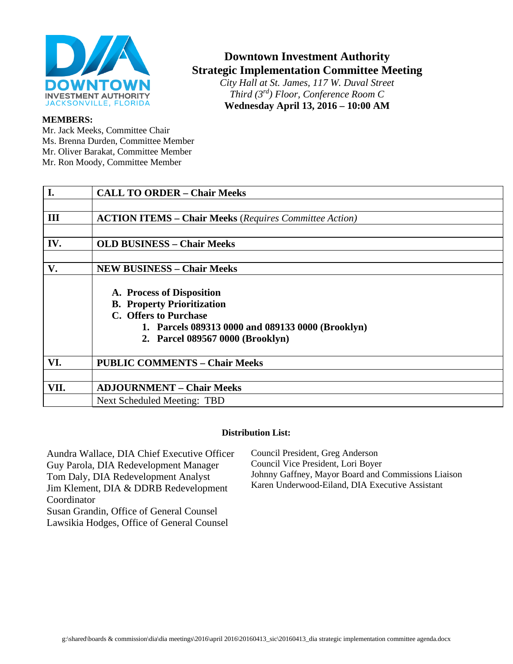

# **Downtown Investment Authority Strategic Implementation Committee Meeting**

*City Hall at St. James, 117 W. Duval Street Third (3rd) Floor, Conference Room C* **Wednesday April 13, 2016 – 10:00 AM**

#### **MEMBERS:**

Mr. Jack Meeks, Committee Chair Ms. Brenna Durden, Committee Member Mr. Oliver Barakat, Committee Member Mr. Ron Moody, Committee Member

| I.   | <b>CALL TO ORDER - Chair Meeks</b>                                                                                                                                               |
|------|----------------------------------------------------------------------------------------------------------------------------------------------------------------------------------|
|      |                                                                                                                                                                                  |
| III  | <b>ACTION ITEMS – Chair Meeks</b> (Requires Committee Action)                                                                                                                    |
|      |                                                                                                                                                                                  |
| IV.  | <b>OLD BUSINESS - Chair Meeks</b>                                                                                                                                                |
|      |                                                                                                                                                                                  |
| V.   | <b>NEW BUSINESS - Chair Meeks</b>                                                                                                                                                |
|      | A. Process of Disposition<br><b>B. Property Prioritization</b><br>C. Offers to Purchase<br>1. Parcels 089313 0000 and 089133 0000 (Brooklyn)<br>2. Parcel 089567 0000 (Brooklyn) |
| VI.  | <b>PUBLIC COMMENTS - Chair Meeks</b>                                                                                                                                             |
|      |                                                                                                                                                                                  |
| VII. | <b>ADJOURNMENT - Chair Meeks</b>                                                                                                                                                 |
|      | Next Scheduled Meeting: TBD                                                                                                                                                      |

#### **Distribution List:**

Aundra Wallace, DIA Chief Executive Officer Guy Parola, DIA Redevelopment Manager Tom Daly, DIA Redevelopment Analyst Jim Klement, DIA & DDRB Redevelopment Coordinator Susan Grandin, Office of General Counsel Lawsikia Hodges, Office of General Counsel

Council President, Greg Anderson Council Vice President, Lori Boyer Johnny Gaffney, Mayor Board and Commissions Liaison Karen Underwood-Eiland, DIA Executive Assistant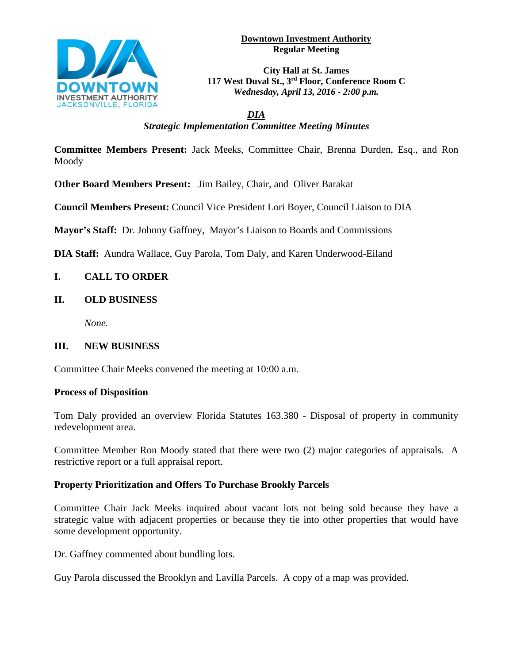

#### **Downtown Investment Authority Regular Meeting**

**City Hall at St. James 117 West Duval St., 3rd Floor, Conference Room C** *Wednesday, April 13, 2016 - 2:00 p.m.*

*DIA Strategic Implementation Committee Meeting Minutes*

**Committee Members Present:** Jack Meeks, Committee Chair, Brenna Durden, Esq., and Ron Moody

**Other Board Members Present:** Jim Bailey, Chair, and Oliver Barakat

**Council Members Present:** Council Vice President Lori Boyer, Council Liaison to DIA

**Mayor's Staff:** Dr. Johnny Gaffney, Mayor's Liaison to Boards and Commissions

**DIA Staff:** Aundra Wallace, Guy Parola, Tom Daly, and Karen Underwood-Eiland

# **I. CALL TO ORDER**

## **II. OLD BUSINESS**

*None.*

## **III. NEW BUSINESS**

Committee Chair Meeks convened the meeting at 10:00 a.m.

## **Process of Disposition**

Tom Daly provided an overview Florida Statutes 163.380 - Disposal of property in community redevelopment area.

Committee Member Ron Moody stated that there were two (2) major categories of appraisals. A restrictive report or a full appraisal report.

## **Property Prioritization and Offers To Purchase Brookly Parcels**

Committee Chair Jack Meeks inquired about vacant lots not being sold because they have a strategic value with adjacent properties or because they tie into other properties that would have some development opportunity.

Dr. Gaffney commented about bundling lots.

Guy Parola discussed the Brooklyn and Lavilla Parcels. A copy of a map was provided.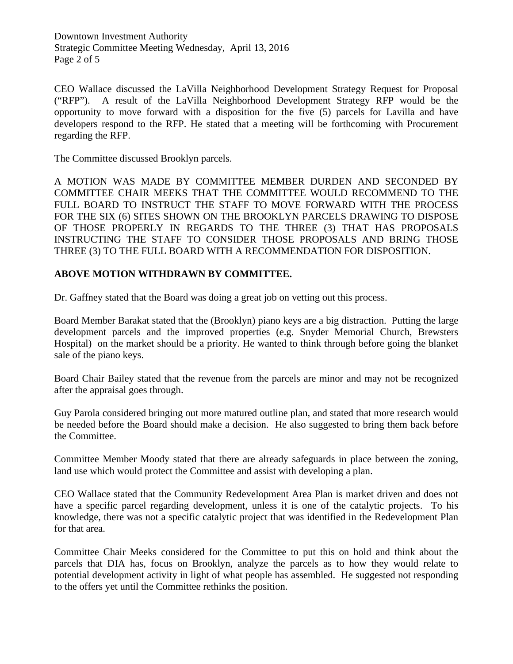Downtown Investment Authority Strategic Committee Meeting Wednesday, April 13, 2016 Page 2 of 5

CEO Wallace discussed the LaVilla Neighborhood Development Strategy Request for Proposal ("RFP"). A result of the LaVilla Neighborhood Development Strategy RFP would be the opportunity to move forward with a disposition for the five (5) parcels for Lavilla and have developers respond to the RFP. He stated that a meeting will be forthcoming with Procurement regarding the RFP.

The Committee discussed Brooklyn parcels.

A MOTION WAS MADE BY COMMITTEE MEMBER DURDEN AND SECONDED BY COMMITTEE CHAIR MEEKS THAT THE COMMITTEE WOULD RECOMMEND TO THE FULL BOARD TO INSTRUCT THE STAFF TO MOVE FORWARD WITH THE PROCESS FOR THE SIX (6) SITES SHOWN ON THE BROOKLYN PARCELS DRAWING TO DISPOSE OF THOSE PROPERLY IN REGARDS TO THE THREE (3) THAT HAS PROPOSALS INSTRUCTING THE STAFF TO CONSIDER THOSE PROPOSALS AND BRING THOSE THREE (3) TO THE FULL BOARD WITH A RECOMMENDATION FOR DISPOSITION.

#### **ABOVE MOTION WITHDRAWN BY COMMITTEE.**

Dr. Gaffney stated that the Board was doing a great job on vetting out this process.

Board Member Barakat stated that the (Brooklyn) piano keys are a big distraction. Putting the large development parcels and the improved properties (e.g. Snyder Memorial Church, Brewsters Hospital) on the market should be a priority. He wanted to think through before going the blanket sale of the piano keys.

Board Chair Bailey stated that the revenue from the parcels are minor and may not be recognized after the appraisal goes through.

Guy Parola considered bringing out more matured outline plan, and stated that more research would be needed before the Board should make a decision. He also suggested to bring them back before the Committee.

Committee Member Moody stated that there are already safeguards in place between the zoning, land use which would protect the Committee and assist with developing a plan.

CEO Wallace stated that the Community Redevelopment Area Plan is market driven and does not have a specific parcel regarding development, unless it is one of the catalytic projects. To his knowledge, there was not a specific catalytic project that was identified in the Redevelopment Plan for that area.

Committee Chair Meeks considered for the Committee to put this on hold and think about the parcels that DIA has, focus on Brooklyn, analyze the parcels as to how they would relate to potential development activity in light of what people has assembled. He suggested not responding to the offers yet until the Committee rethinks the position.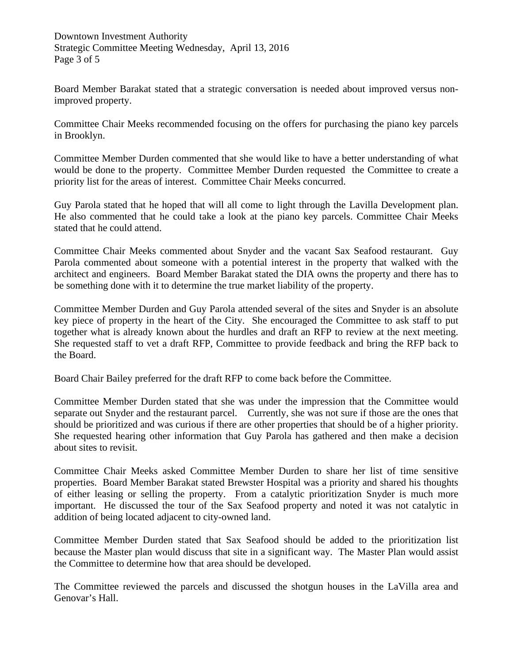Downtown Investment Authority Strategic Committee Meeting Wednesday, April 13, 2016 Page 3 of 5

Board Member Barakat stated that a strategic conversation is needed about improved versus nonimproved property.

Committee Chair Meeks recommended focusing on the offers for purchasing the piano key parcels in Brooklyn.

Committee Member Durden commented that she would like to have a better understanding of what would be done to the property. Committee Member Durden requested the Committee to create a priority list for the areas of interest. Committee Chair Meeks concurred.

Guy Parola stated that he hoped that will all come to light through the Lavilla Development plan. He also commented that he could take a look at the piano key parcels. Committee Chair Meeks stated that he could attend.

Committee Chair Meeks commented about Snyder and the vacant Sax Seafood restaurant. Guy Parola commented about someone with a potential interest in the property that walked with the architect and engineers. Board Member Barakat stated the DIA owns the property and there has to be something done with it to determine the true market liability of the property.

Committee Member Durden and Guy Parola attended several of the sites and Snyder is an absolute key piece of property in the heart of the City. She encouraged the Committee to ask staff to put together what is already known about the hurdles and draft an RFP to review at the next meeting. She requested staff to vet a draft RFP, Committee to provide feedback and bring the RFP back to the Board.

Board Chair Bailey preferred for the draft RFP to come back before the Committee.

Committee Member Durden stated that she was under the impression that the Committee would separate out Snyder and the restaurant parcel. Currently, she was not sure if those are the ones that should be prioritized and was curious if there are other properties that should be of a higher priority. She requested hearing other information that Guy Parola has gathered and then make a decision about sites to revisit.

Committee Chair Meeks asked Committee Member Durden to share her list of time sensitive properties. Board Member Barakat stated Brewster Hospital was a priority and shared his thoughts of either leasing or selling the property. From a catalytic prioritization Snyder is much more important. He discussed the tour of the Sax Seafood property and noted it was not catalytic in addition of being located adjacent to city-owned land.

Committee Member Durden stated that Sax Seafood should be added to the prioritization list because the Master plan would discuss that site in a significant way. The Master Plan would assist the Committee to determine how that area should be developed.

The Committee reviewed the parcels and discussed the shotgun houses in the LaVilla area and Genovar's Hall.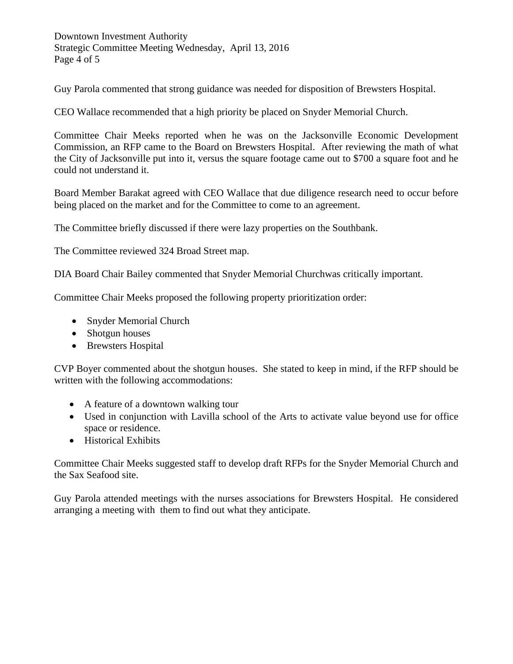Downtown Investment Authority Strategic Committee Meeting Wednesday, April 13, 2016 Page 4 of 5

Guy Parola commented that strong guidance was needed for disposition of Brewsters Hospital.

CEO Wallace recommended that a high priority be placed on Snyder Memorial Church.

Committee Chair Meeks reported when he was on the Jacksonville Economic Development Commission, an RFP came to the Board on Brewsters Hospital. After reviewing the math of what the City of Jacksonville put into it, versus the square footage came out to \$700 a square foot and he could not understand it.

Board Member Barakat agreed with CEO Wallace that due diligence research need to occur before being placed on the market and for the Committee to come to an agreement.

The Committee briefly discussed if there were lazy properties on the Southbank.

The Committee reviewed 324 Broad Street map.

DIA Board Chair Bailey commented that Snyder Memorial Churchwas critically important.

Committee Chair Meeks proposed the following property prioritization order:

- Snyder Memorial Church
- Shotgun houses
- Brewsters Hospital

CVP Boyer commented about the shotgun houses. She stated to keep in mind, if the RFP should be written with the following accommodations:

- A feature of a downtown walking tour
- Used in conjunction with Lavilla school of the Arts to activate value beyond use for office space or residence.
- Historical Exhibits

Committee Chair Meeks suggested staff to develop draft RFPs for the Snyder Memorial Church and the Sax Seafood site.

Guy Parola attended meetings with the nurses associations for Brewsters Hospital. He considered arranging a meeting with them to find out what they anticipate.